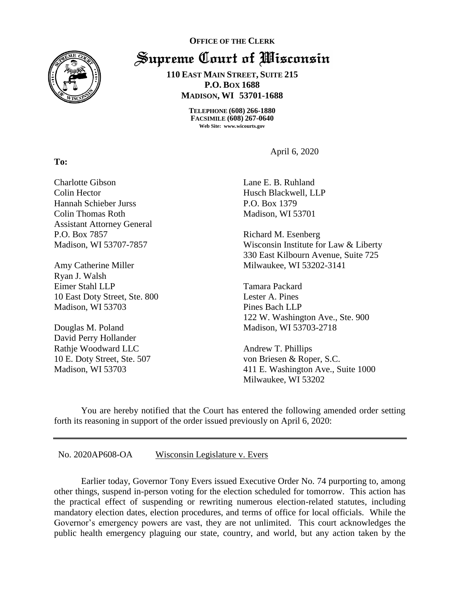

**OFFICE OF THE CLERK** Supreme Court of Wisconsin

> **110 EAST MAIN STREET, SUITE 215 P.O. BOX 1688 MADISON, WI 53701-1688**

> > **TELEPHONE (608) 266-1880 FACSIMILE (608) 267-0640 Web Site: www.wicourts.gov**

> > > April 6, 2020

Charlotte Gibson Colin Hector Hannah Schieber Jurss Colin Thomas Roth Assistant Attorney General P.O. Box 7857 Madison, WI 53707-7857

Amy Catherine Miller Ryan J. Walsh Eimer Stahl LLP 10 East Doty Street, Ste. 800 Madison, WI 53703

Douglas M. Poland David Perry Hollander Rathje Woodward LLC 10 E. Doty Street, Ste. 507 Madison, WI 53703

Lane E. B. Ruhland Husch Blackwell, LLP P.O. Box 1379 Madison, WI 53701

Richard M. Esenberg Wisconsin Institute for Law & Liberty 330 East Kilbourn Avenue, Suite 725 Milwaukee, WI 53202-3141

Tamara Packard Lester A. Pines Pines Bach LLP 122 W. Washington Ave., Ste. 900 Madison, WI 53703-2718

Andrew T. Phillips von Briesen & Roper, S.C. 411 E. Washington Ave., Suite 1000 Milwaukee, WI 53202

You are hereby notified that the Court has entered the following amended order setting forth its reasoning in support of the order issued previously on April 6, 2020:

No. 2020AP608-OA Wisconsin Legislature v. Evers

Earlier today, Governor Tony Evers issued Executive Order No. 74 purporting to, among other things, suspend in-person voting for the election scheduled for tomorrow. This action has the practical effect of suspending or rewriting numerous election-related statutes, including mandatory election dates, election procedures, and terms of office for local officials. While the Governor's emergency powers are vast, they are not unlimited. This court acknowledges the public health emergency plaguing our state, country, and world, but any action taken by the

**To:**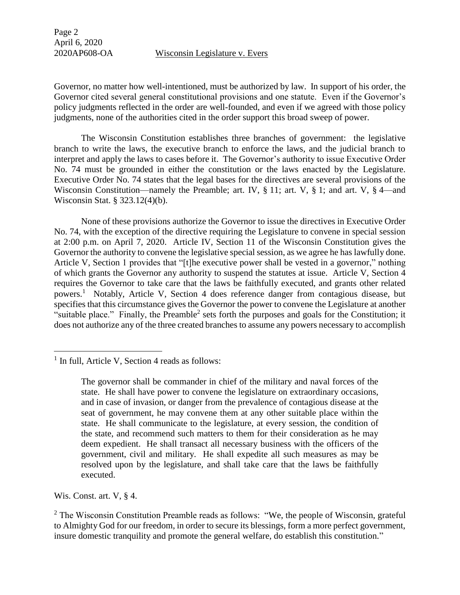Governor, no matter how well-intentioned, must be authorized by law. In support of his order, the Governor cited several general constitutional provisions and one statute. Even if the Governor's policy judgments reflected in the order are well-founded, and even if we agreed with those policy judgments, none of the authorities cited in the order support this broad sweep of power.

The Wisconsin Constitution establishes three branches of government: the legislative branch to write the laws, the executive branch to enforce the laws, and the judicial branch to interpret and apply the laws to cases before it. The Governor's authority to issue Executive Order No. 74 must be grounded in either the constitution or the laws enacted by the Legislature. Executive Order No. 74 states that the legal bases for the directives are several provisions of the Wisconsin Constitution—namely the Preamble; art. IV, § 11; art. V, § 1; and art. V, § 4—and Wisconsin Stat. § 323.12(4)(b).

None of these provisions authorize the Governor to issue the directives in Executive Order No. 74, with the exception of the directive requiring the Legislature to convene in special session at 2:00 p.m. on April 7, 2020. Article IV, Section 11 of the Wisconsin Constitution gives the Governor the authority to convene the legislative special session, as we agree he has lawfully done. Article V, Section 1 provides that "[t]he executive power shall be vested in a governor," nothing of which grants the Governor any authority to suspend the statutes at issue. Article V, Section 4 requires the Governor to take care that the laws be faithfully executed, and grants other related powers.<sup>1</sup> Notably, Article V, Section 4 does reference danger from contagious disease, but specifies that this circumstance gives the Governor the power to convene the Legislature at another "suitable place." Finally, the Preamble<sup>2</sup> sets forth the purposes and goals for the Constitution; it does not authorize any of the three created branches to assume any powers necessary to accomplish

Wis. Const. art. V, § 4.

 $\overline{a}$ 

<sup>&</sup>lt;sup>1</sup> In full, Article V, Section 4 reads as follows:

The governor shall be commander in chief of the military and naval forces of the state. He shall have power to convene the legislature on extraordinary occasions, and in case of invasion, or danger from the prevalence of contagious disease at the seat of government, he may convene them at any other suitable place within the state. He shall communicate to the legislature, at every session, the condition of the state, and recommend such matters to them for their consideration as he may deem expedient. He shall transact all necessary business with the officers of the government, civil and military. He shall expedite all such measures as may be resolved upon by the legislature, and shall take care that the laws be faithfully executed.

 $2$  The Wisconsin Constitution Preamble reads as follows: "We, the people of Wisconsin, grateful to Almighty God for our freedom, in order to secure its blessings, form a more perfect government, insure domestic tranquility and promote the general welfare, do establish this constitution."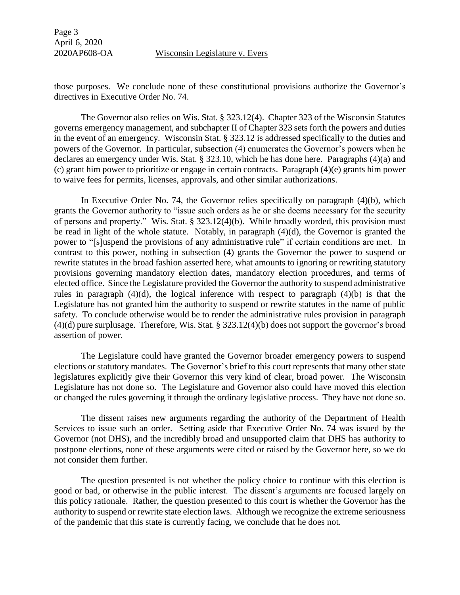Page 3 April 6, 2020

2020AP608-OA Wisconsin Legislature v. Evers

those purposes. We conclude none of these constitutional provisions authorize the Governor's directives in Executive Order No. 74.

The Governor also relies on Wis. Stat. § 323.12(4). Chapter 323 of the Wisconsin Statutes governs emergency management, and subchapter II of Chapter 323 sets forth the powers and duties in the event of an emergency. Wisconsin Stat. § 323.12 is addressed specifically to the duties and powers of the Governor. In particular, subsection (4) enumerates the Governor's powers when he declares an emergency under Wis. Stat. § 323.10, which he has done here. Paragraphs (4)(a) and (c) grant him power to prioritize or engage in certain contracts. Paragraph (4)(e) grants him power to waive fees for permits, licenses, approvals, and other similar authorizations.

In Executive Order No. 74, the Governor relies specifically on paragraph  $(4)(b)$ , which grants the Governor authority to "issue such orders as he or she deems necessary for the security of persons and property." Wis. Stat. § 323.12(4)(b). While broadly worded, this provision must be read in light of the whole statute. Notably, in paragraph (4)(d), the Governor is granted the power to "[s]uspend the provisions of any administrative rule" if certain conditions are met. In contrast to this power, nothing in subsection (4) grants the Governor the power to suspend or rewrite statutes in the broad fashion asserted here, what amounts to ignoring or rewriting statutory provisions governing mandatory election dates, mandatory election procedures, and terms of elected office. Since the Legislature provided the Governor the authority to suspend administrative rules in paragraph (4)(d), the logical inference with respect to paragraph (4)(b) is that the Legislature has not granted him the authority to suspend or rewrite statutes in the name of public safety. To conclude otherwise would be to render the administrative rules provision in paragraph (4)(d) pure surplusage. Therefore, Wis. Stat. § 323.12(4)(b) does not support the governor's broad assertion of power.

The Legislature could have granted the Governor broader emergency powers to suspend elections or statutory mandates. The Governor's brief to this court represents that many other state legislatures explicitly give their Governor this very kind of clear, broad power. The Wisconsin Legislature has not done so. The Legislature and Governor also could have moved this election or changed the rules governing it through the ordinary legislative process. They have not done so.

The dissent raises new arguments regarding the authority of the Department of Health Services to issue such an order. Setting aside that Executive Order No. 74 was issued by the Governor (not DHS), and the incredibly broad and unsupported claim that DHS has authority to postpone elections, none of these arguments were cited or raised by the Governor here, so we do not consider them further.

The question presented is not whether the policy choice to continue with this election is good or bad, or otherwise in the public interest. The dissent's arguments are focused largely on this policy rationale. Rather, the question presented to this court is whether the Governor has the authority to suspend or rewrite state election laws. Although we recognize the extreme seriousness of the pandemic that this state is currently facing, we conclude that he does not.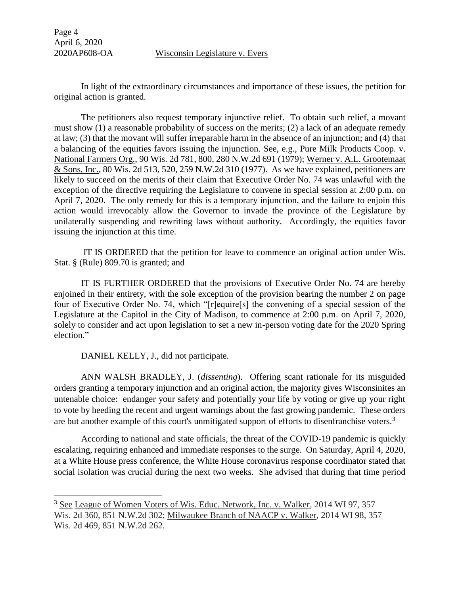Page 4 April 6, 2020

 $\overline{a}$ 

## 2020AP608-OA Wisconsin Legislature v. Evers

In light of the extraordinary circumstances and importance of these issues, the petition for original action is granted.

The petitioners also request temporary injunctive relief. To obtain such relief, a movant must show (1) a reasonable probability of success on the merits; (2) a lack of an adequate remedy at law; (3) that the movant will suffer irreparable harm in the absence of an injunction; and (4) that a balancing of the equities favors issuing the injunction. See, e.g., Pure Milk Products Coop. v. National Farmers Org., 90 Wis. 2d 781, 800, 280 N.W.2d 691 (1979); Werner v. A.L. Grootemaat & Sons, Inc., 80 Wis. 2d 513, 520, 259 N.W.2d 310 (1977). As we have explained, petitioners are likely to succeed on the merits of their claim that Executive Order No. 74 was unlawful with the exception of the directive requiring the Legislature to convene in special session at 2:00 p.m. on April 7, 2020. The only remedy for this is a temporary injunction, and the failure to enjoin this action would irrevocably allow the Governor to invade the province of the Legislature by unilaterally suspending and rewriting laws without authority. Accordingly, the equities favor issuing the injunction at this time.

IT IS ORDERED that the petition for leave to commence an original action under Wis. Stat. § (Rule) 809.70 is granted; and

IT IS FURTHER ORDERED that the provisions of Executive Order No. 74 are hereby enjoined in their entirety, with the sole exception of the provision bearing the number 2 on page four of Executive Order No. 74, which "[r]equire[s] the convening of a special session of the Legislature at the Capitol in the City of Madison, to commence at 2:00 p.m. on April 7, 2020, solely to consider and act upon legislation to set a new in-person voting date for the 2020 Spring election."

DANIEL KELLY, J., did not participate.

ANN WALSH BRADLEY, J. (*dissenting*). Offering scant rationale for its misguided orders granting a temporary injunction and an original action, the majority gives Wisconsinites an untenable choice: endanger your safety and potentially your life by voting or give up your right to vote by heeding the recent and urgent warnings about the fast growing pandemic. These orders are but another example of this court's unmitigated support of efforts to disenfranchise voters.<sup>3</sup>

According to national and state officials, the threat of the COVID-19 pandemic is quickly escalating, requiring enhanced and immediate responses to the surge. On Saturday, April 4, 2020, at a White House press conference, the White House coronavirus response coordinator stated that social isolation was crucial during the next two weeks. She advised that during that time period

<sup>&</sup>lt;sup>3</sup> See League of Women Voters o<u>f Wis. Educ. Network, Inc. v. Walker</u>, 2014 WI 97, 357 Wis. 2d 360, 851 N.W.2d 302; Milwaukee Branch of NAACP v. Walker, 2014 WI 98, 357 Wis. 2d 469, 851 N.W.2d 262.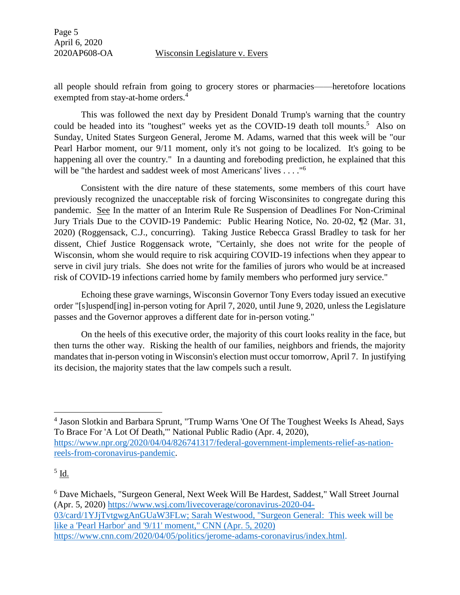all people should refrain from going to grocery stores or pharmacies——heretofore locations exempted from stay-at-home orders.<sup>4</sup>

This was followed the next day by President Donald Trump's warning that the country could be headed into its "toughest" weeks yet as the COVID-19 death toll mounts.<sup>5</sup> Also on Sunday, United States Surgeon General, Jerome M. Adams, warned that this week will be "our Pearl Harbor moment, our 9/11 moment, only it's not going to be localized. It's going to be happening all over the country." In a daunting and foreboding prediction, he explained that this will be "the hardest and saddest week of most Americans' lives . . . . "<sup>6</sup>

Consistent with the dire nature of these statements, some members of this court have previously recognized the unacceptable risk of forcing Wisconsinites to congregate during this pandemic. See In the matter of an Interim Rule Re Suspension of Deadlines For Non-Criminal Jury Trials Due to the COVID-19 Pandemic: Public Hearing Notice, No. 20-02, ¶2 (Mar. 31, 2020) (Roggensack, C.J., concurring). Taking Justice Rebecca Grassl Bradley to task for her dissent, Chief Justice Roggensack wrote, "Certainly, she does not write for the people of Wisconsin, whom she would require to risk acquiring COVID-19 infections when they appear to serve in civil jury trials. She does not write for the families of jurors who would be at increased risk of COVID-19 infections carried home by family members who performed jury service."

Echoing these grave warnings, Wisconsin Governor Tony Evers today issued an executive order "[s]uspend[ing] in-person voting for April 7, 2020, until June 9, 2020, unless the Legislature passes and the Governor approves a different date for in-person voting."

On the heels of this executive order, the majority of this court looks reality in the face, but then turns the other way. Risking the health of our families, neighbors and friends, the majority mandates that in-person voting in Wisconsin's election must occur tomorrow, April 7. In justifying its decision, the majority states that the law compels such a result.

 $\overline{a}$ 

<sup>6</sup> Dave Michaels, "Surgeon General, Next Week Will Be Hardest, Saddest," Wall Street Journal (Apr. 5, 2020) [https://www.wsj.com/livecoverage/coronavirus-2020-04-](https://www.wsj.com/livecoverage/coronavirus-2020-04-03/card/1YJjTvtgwgAnGUaW3FLw) [03/card/1YJjTvtgwgAnGUaW3FLw;](https://www.wsj.com/livecoverage/coronavirus-2020-04-03/card/1YJjTvtgwgAnGUaW3FLw) Sarah Westwood, "Surgeon General: This week will be like a 'Pearl Harbor' and '9/11' moment," CNN (Apr. 5, 2020) [https://www.cnn.com/2020/04/05/politics/jerome-adams-coronavirus/index.html.](https://www.cnn.com/2020/04/05/politics/jerome-adams-coronavirus/index.html)

<sup>&</sup>lt;sup>4</sup> Jason Slotkin and Barbara Sprunt, "Trump Warns 'One Of The Toughest Weeks Is Ahead, Says To Brace For 'A Lot Of Death,'" National Public Radio (Apr. 4, 2020), [https://www.npr.org/2020/04/04/826741317/federal-government-implements-relief-as-nation](https://www.npr.org/2020/04/04/826741317/federal-government-implements-relief-as-nation-reels-from-coronavirus-pandemic)[reels-from-coronavirus-pandemic.](https://www.npr.org/2020/04/04/826741317/federal-government-implements-relief-as-nation-reels-from-coronavirus-pandemic)

 $^5$  <u>Id.</u>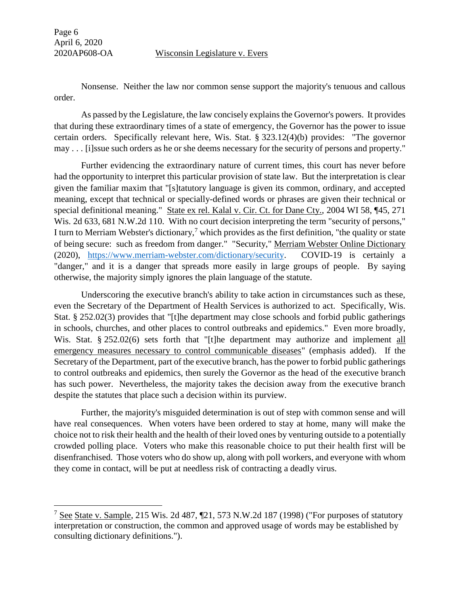$\overline{a}$ 

Nonsense. Neither the law nor common sense support the majority's tenuous and callous order.

As passed by the Legislature, the law concisely explains the Governor's powers. It provides that during these extraordinary times of a state of emergency, the Governor has the power to issue certain orders. Specifically relevant here, Wis. Stat. § 323.12(4)(b) provides: "The governor may . . . [i]ssue such orders as he or she deems necessary for the security of persons and property."

Further evidencing the extraordinary nature of current times, this court has never before had the opportunity to interpret this particular provision of state law. But the interpretation is clear given the familiar maxim that "[s]tatutory language is given its common, ordinary, and accepted meaning, except that technical or specially-defined words or phrases are given their technical or special definitional meaning." State ex rel. Kalal v. Cir. Ct. for Dane Cty., 2004 WI 58, ¶45, 271 Wis. 2d 633, 681 N.W.2d 110. With no court decision interpreting the term "security of persons," I turn to Merriam Webster's dictionary,<sup>7</sup> which provides as the first definition, "the quality or state of being secure: such as freedom from danger." "Security," Merriam Webster Online Dictionary (2020), [https://www.merriam-webster.com/dictionary/security.](https://www.merriam-webster.com/dictionary/security) COVID-19 is certainly a "danger," and it is a danger that spreads more easily in large groups of people. By saying otherwise, the majority simply ignores the plain language of the statute.

Underscoring the executive branch's ability to take action in circumstances such as these, even the Secretary of the Department of Health Services is authorized to act. Specifically, Wis. Stat. § 252.02(3) provides that "[t]he department may close schools and forbid public gatherings in schools, churches, and other places to control outbreaks and epidemics." Even more broadly, Wis. Stat. § 252.02(6) sets forth that "[t]he department may authorize and implement all emergency measures necessary to control communicable diseases" (emphasis added). If the Secretary of the Department, part of the executive branch, has the power to forbid public gatherings to control outbreaks and epidemics, then surely the Governor as the head of the executive branch has such power. Nevertheless, the majority takes the decision away from the executive branch despite the statutes that place such a decision within its purview.

Further, the majority's misguided determination is out of step with common sense and will have real consequences. When voters have been ordered to stay at home, many will make the choice not to risk their health and the health of their loved ones by venturing outside to a potentially crowded polling place. Voters who make this reasonable choice to put their health first will be disenfranchised. Those voters who do show up, along with poll workers, and everyone with whom they come in contact, will be put at needless risk of contracting a deadly virus.

<sup>&</sup>lt;sup>7</sup> See State v. Sample, 215 Wis. 2d 487,  $\P$ 21, 573 N.W. 2d 187 (1998) ("For purposes of statutory interpretation or construction, the common and approved usage of words may be established by consulting dictionary definitions.").